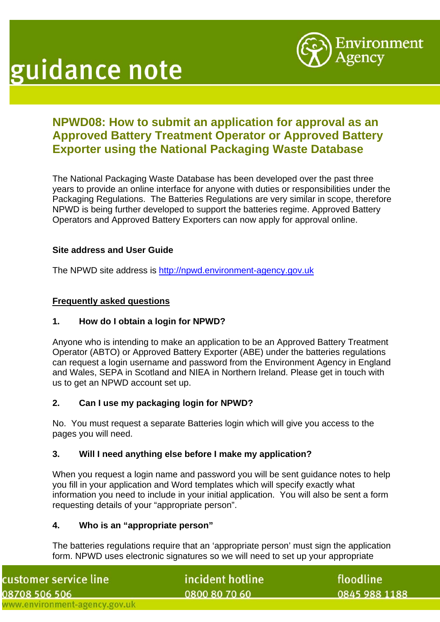



# **NPWD08: How to submit an application for approval as an Approved Battery Treatment Operator or Approved Battery Exporter using the National Packaging Waste Database**

The National Packaging Waste Database has been developed over the past three years to provide an online interface for anyone with duties or responsibilities under the Packaging Regulations. The Batteries Regulations are very similar in scope, therefore NPWD is being further developed to support the batteries regime. Approved Battery Operators and Approved Battery Exporters can now apply for approval online.

## **Site address and User Guide**

The NPWD site address is [http://npwd.environment-agency.gov.uk](http://npwd.environment-agency.gov.uk/)

#### **Frequently asked questions**

#### **1. How do I obtain a login for NPWD?**

Anyone who is intending to make an application to be an Approved Battery Treatment Operator (ABTO) or Approved Battery Exporter (ABE) under the batteries regulations can request a login username and password from the Environment Agency in England and Wales, SEPA in Scotland and NIEA in Northern Ireland. Please get in touch with us to get an NPWD account set up.

#### **2. Can I use my packaging login for NPWD?**

No. You must request a separate Batteries login which will give you access to the pages you will need.

#### **3. Will I need anything else before I make my application?**

When you request a login name and password you will be sent guidance notes to help you fill in your application and Word templates which will specify exactly what information you need to include in your initial application. You will also be sent a form requesting details of your "appropriate person".

#### **4. Who is an "appropriate person"**

The batteries regulations require that an 'appropriate person' must sign the application form. NPWD uses electronic signatures so we will need to set up your appropriate

| ustomer service line:         | incident hotline | floodline     |
|-------------------------------|------------------|---------------|
| 8708 506 506                  | 0800 80 70 60    | 0845 988 1188 |
| vww.environment-agency.gov.uk |                  |               |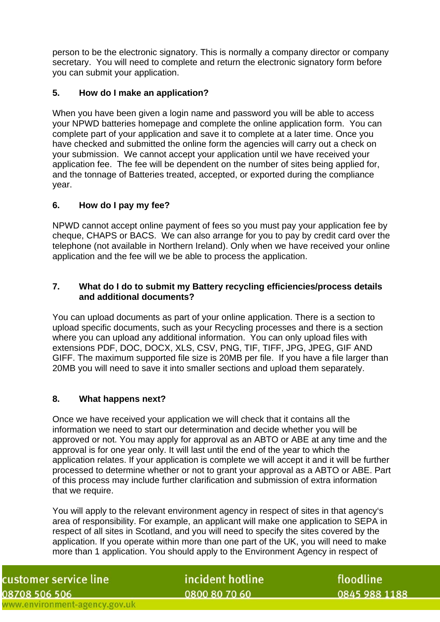person to be the electronic signatory. This is normally a company director or company secretary. You will need to complete and return the electronic signatory form before you can submit your application.

## **5. How do I make an application?**

When you have been given a login name and password you will be able to access your NPWD batteries homepage and complete the online application form. You can complete part of your application and save it to complete at a later time. Once you have checked and submitted the online form the agencies will carry out a check on your submission. We cannot accept your application until we have received your application fee. The fee will be dependent on the number of sites being applied for, and the tonnage of Batteries treated, accepted, or exported during the compliance year.

#### **6. How do I pay my fee?**

NPWD cannot accept online payment of fees so you must pay your application fee by cheque, CHAPS or BACS. We can also arrange for you to pay by credit card over the telephone (not available in Northern Ireland). Only when we have received your online application and the fee will we be able to process the application.

## **7. What do I do to submit my Battery recycling efficiencies/process details and additional documents?**

You can upload documents as part of your online application. There is a section to upload specific documents, such as your Recycling processes and there is a section where you can upload any additional information. You can only upload files with extensions PDF, DOC, DOCX, XLS, CSV, PNG, TIF, TIFF, JPG, JPEG, GIF AND GIFF. The maximum supported file size is 20MB per file. If you have a file larger than 20MB you will need to save it into smaller sections and upload them separately.

# **8. What happens next?**

Once we have received your application we will check that it contains all the information we need to start our determination and decide whether you will be approved or not. You may apply for approval as an ABTO or ABE at any time and the approval is for one year only. It will last until the end of the year to which the application relates. If your application is complete we will accept it and it will be further processed to determine whether or not to grant your approval as a ABTO or ABE. Part of this process may include further clarification and submission of extra information that we require.

You will apply to the relevant environment agency in respect of sites in that agency's area of responsibility. For example, an applicant will make one application to SEPA in respect of all sites in Scotland, and you will need to specify the sites covered by the application. If you operate within more than one part of the UK, you will need to make more than 1 application. You should apply to the Environment Agency in respect of

| customer service line         |  |
|-------------------------------|--|
| 08708 506 506                 |  |
| www.environment-agency.gov.uk |  |

incident hotline 0800 80 70 60

floodline 0845 988 1188